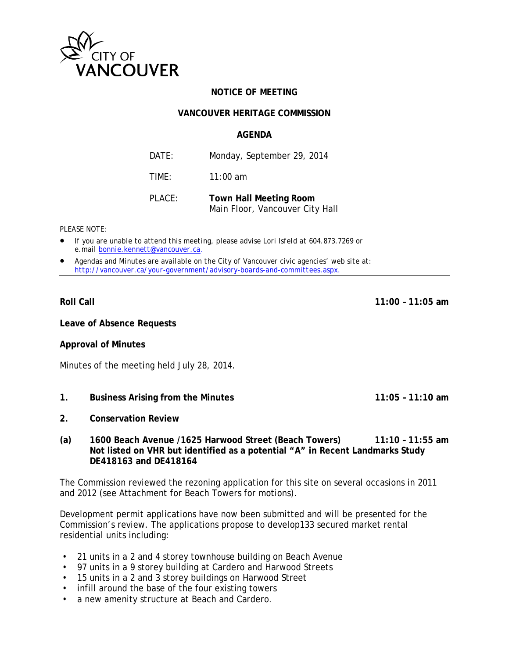

# **NOTICE OF MEETING**

### **VANCOUVER HERITAGE COMMISSION**

### **AGENDA**

| DATE:  | Monday, September 29, 2014                                       |
|--------|------------------------------------------------------------------|
| TIMF:  | $11:00$ am                                                       |
| PLACE: | <b>Town Hall Meeting Room</b><br>Main Floor, Vancouver City Hall |

### *PLEASE NOTE:*

- *If you are unable to attend this meeting, please advise Lori Isfeld at 604.873.7269 or e.mail [bonnie.kennett@vancouver.ca](mailto:bonnie.kennett@vancouver.ca)*.
- *Agendas and Minutes are available on the City of Vancouver civic agencies' web site at: <http://vancouver.ca/your-government/advisory-boards-and-committees.aspx>*.

**Roll Call 11:00 – 11:05 am**

**Leave of Absence Requests**

**Approval of Minutes**

Minutes of the meeting held July 28, 2014.

- **1. Business Arising from the Minutes 11:05 11:10 am**
- **2. Conservation Review**
- **(a) 1600 Beach Avenue /1625 Harwood Street (Beach Towers) 11:10 11:55 am Not listed on VHR but identified as a potential "A" in Recent Landmarks Study DE418163 and DE418164**

The Commission reviewed the rezoning application for this site on several occasions in 2011 and 2012 (see Attachment for Beach Towers for motions).

Development permit applications have now been submitted and will be presented for the Commission's review. The applications propose to develop133 secured market rental residential units including:

- 21 units in a 2 and 4 storey townhouse building on Beach Avenue
- 97 units in a 9 storey building at Cardero and Harwood Streets
- 15 units in a 2 and 3 storey buildings on Harwood Street
- infill around the base of the four existing towers
- a new amenity structure at Beach and Cardero.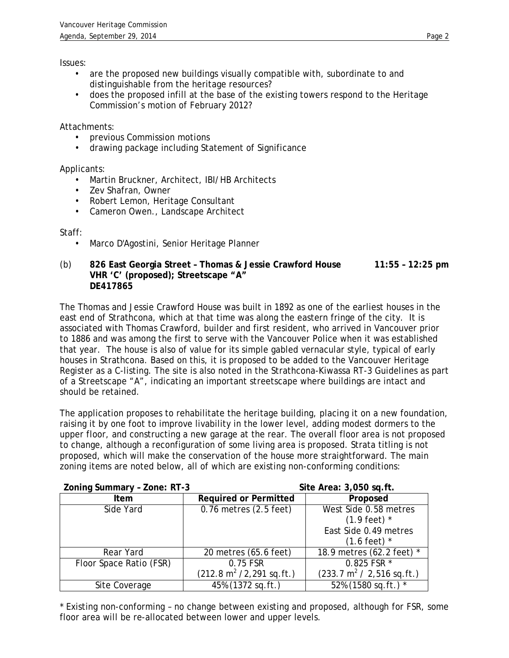Issues:

- are the proposed new buildings visually compatible with, subordinate to and distinguishable from the heritage resources?
- does the proposed infill at the base of the existing towers respond to the Heritage Commission's motion of February 2012?

Attachments:

- previous Commission motions
- drawing package including Statement of Significance

Applicants:

- Martin Bruckner, Architect, IBI/HB Architects
- Zev Shafran, Owner
- Robert Lemon, Heritage Consultant
- Cameron Owen., Landscape Architect

Staff:

- Marco D'Agostini, Senior Heritage Planner
- (b) **826 East Georgia Street Thomas & Jessie Crawford House 11:55 12:25 pm VHR 'C' (proposed); Streetscape "A" DE417865**

The Thomas and Jessie Crawford House was built in 1892 as one of the earliest houses in the east end of Strathcona, which at that time was along the eastern fringe of the city. It is associated with Thomas Crawford, builder and first resident, who arrived in Vancouver prior to 1886 and was among the first to serve with the Vancouver Police when it was established that year. The house is also of value for its simple gabled vernacular style, typical of early houses in Strathcona. Based on this, it is proposed to be added to the Vancouver Heritage Register as a C-listing. The site is also noted in the Strathcona-Kiwassa RT-3 Guidelines as part of a Streetscape "A", indicating an important streetscape where buildings are intact and should be retained.

The application proposes to rehabilitate the heritage building, placing it on a new foundation, raising it by one foot to improve livability in the lower level, adding modest dormers to the upper floor, and constructing a new garage at the rear. The overall floor area is not proposed to change, although a reconfiguration of some living area is proposed. Strata titling is not proposed, which will make the conservation of the house more straightforward. The main zoning items are noted below, all of which are existing non-conforming conditions:

| Zoning Summary - Zone: RT-3 | Site Area: 3,050 sq.ft.                       |                                               |  |
|-----------------------------|-----------------------------------------------|-----------------------------------------------|--|
| <b>Item</b>                 | <b>Required or Permitted</b>                  | Proposed                                      |  |
| Side Yard                   | 0.76 metres (2.5 feet)                        | West Side 0.58 metres                         |  |
|                             |                                               | $(1.9 \text{ feet})$ *                        |  |
|                             |                                               | East Side 0.49 metres                         |  |
|                             |                                               | $(1.6 \text{ feet})$ *                        |  |
| Rear Yard                   | 20 metres (65.6 feet)                         | 18.9 metres (62.2 feet) *                     |  |
| Floor Space Ratio (FSR)     | 0.75 FSR                                      | 0.825 FSR *                                   |  |
|                             | $(212.8 \text{ m}^2 / 2, 291 \text{ sq.ft.})$ | $(233.7 \text{ m}^2 / 2, 516 \text{ sq.ft.})$ |  |
| Site Coverage               | 45% (1372 sq.ft.)                             | 52% (1580 sq.ft.) *                           |  |

\* Existing non-conforming – no change between existing and proposed, although for FSR, some floor area will be re-allocated between lower and upper levels.